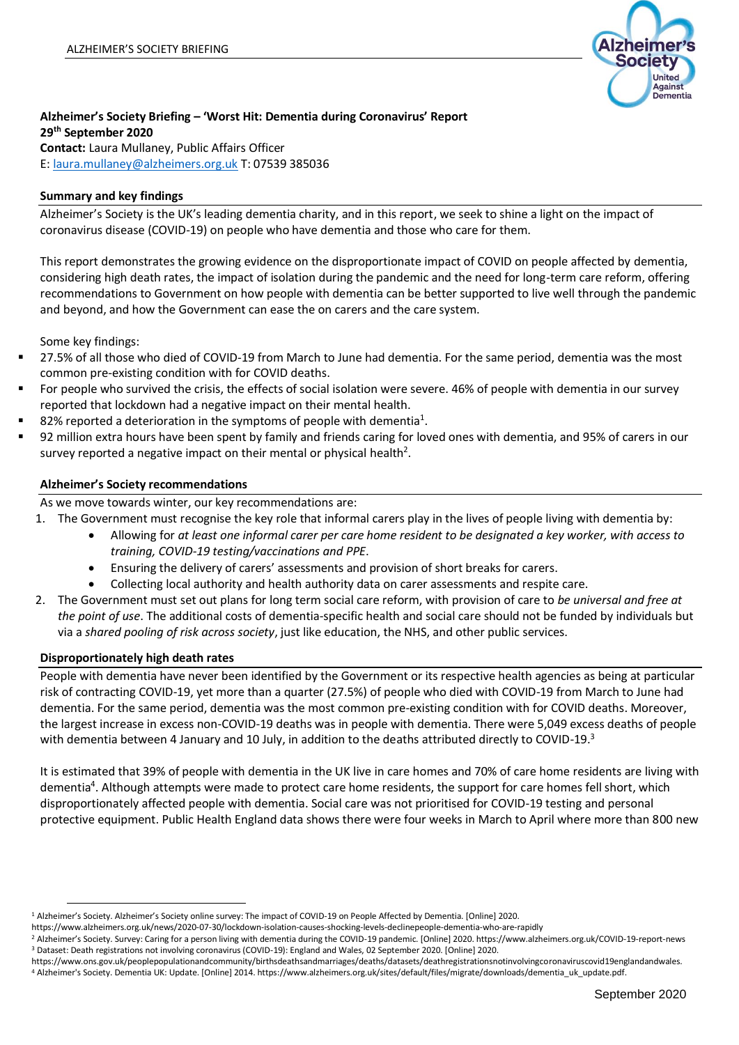

# **Alzheimer's Society Briefing – 'Worst Hit: Dementia during Coronavirus' Report 29th September 2020 Contact:** Laura Mullaney, Public Affairs Officer

E: [laura.mullaney@alzheimers.org.uk](mailto:laura.mullaney@alzheimers.org.uk) T: 07539 385036

## **Summary and key findings**

Alzheimer's Society is the UK's leading dementia charity, and in this report, we seek to shine a light on the impact of coronavirus disease (COVID-19) on people who have dementia and those who care for them.

This report demonstrates the growing evidence on the disproportionate impact of COVID on people affected by dementia, considering high death rates, the impact of isolation during the pandemic and the need for long-term care reform, offering recommendations to Government on how people with dementia can be better supported to live well through the pandemic and beyond, and how the Government can ease the on carers and the care system.

Some key findings:

- 27.5% of all those who died of COVID-19 from March to June had dementia. For the same period, dementia was the most common pre-existing condition with for COVID deaths.
- For people who survived the crisis, the effects of social isolation were severe. 46% of people with dementia in our survey reported that lockdown had a negative impact on their mental health.
- $\blacksquare$  82% reported a deterioration in the symptoms of people with dementia<sup>1</sup>.
- 92 million extra hours have been spent by family and friends caring for loved ones with dementia, and 95% of carers in our survey reported a negative impact on their mental or physical health<sup>2</sup>.

### **Alzheimer's Society recommendations**

As we move towards winter, our key recommendations are:

1. The Government must recognise the key role that informal carers play in the lives of people living with dementia by:

- Allowing for *at least one informal carer per care home resident to be designated a key worker, with access to training, COVID-19 testing/vaccinations and PPE*.
- Ensuring the delivery of carers' assessments and provision of short breaks for carers.
- Collecting local authority and health authority data on carer assessments and respite care.
- 2. The Government must set out plans for long term social care reform, with provision of care to *be universal and free at the point of use*. The additional costs of dementia-specific health and social care should not be funded by individuals but via a *shared pooling of risk across society*, just like education, the NHS, and other public services.

### **Disproportionately high death rates**

People with dementia have never been identified by the Government or its respective health agencies as being at particular risk of contracting COVID-19, yet more than a quarter (27.5%) of people who died with COVID-19 from March to June had dementia. For the same period, dementia was the most common pre-existing condition with for COVID deaths. Moreover, the largest increase in excess non-COVID-19 deaths was in people with dementia. There were 5,049 excess deaths of people with dementia between 4 January and 10 July, in addition to the deaths attributed directly to COVID-19.<sup>3</sup>

It is estimated that 39% of people with dementia in the UK live in care homes and 70% of care home residents are living with dementia<sup>4</sup>. Although attempts were made to protect care home residents, the support for care homes fell short, which disproportionately affected people with dementia. Social care was not prioritised for COVID-19 testing and personal protective equipment. Public Health England data shows there were four weeks in March to April where more than 800 new

<sup>1</sup> Alzheimer's Society. Alzheimer's Society online survey: The impact of COVID-19 on People Affected by Dementia. [Online] 2020.

https://www.alzheimers.org.uk/news/2020-07-30/lockdown-isolation-causes-shocking-levels-declinepeople-dementia-who-are-rapidly

<sup>&</sup>lt;sup>2</sup> Alzheimer's Society. Survey: Caring for a person living with dementia during the COVID-19 pandemic. [Online] 2020. https://www.alzheimers.org.uk/COVID-19-report-news <sup>3</sup> Dataset: Death registrations not involving coronavirus (COVID-19): England and Wales, 02 September 2020. [Online] 2020.

https://www.ons.gov.uk/peoplepopulationandcommunity/birthsdeathsandmarriages/deaths/datasets/deathregistrationsnotinvolvingcoronaviruscovid19englandandwales.

<sup>4</sup> Alzheimer's Society. Dementia UK: Update. [Online] 2014. https://www.alzheimers.org.uk/sites/default/files/migrate/downloads/dementia\_uk\_update.pdf.